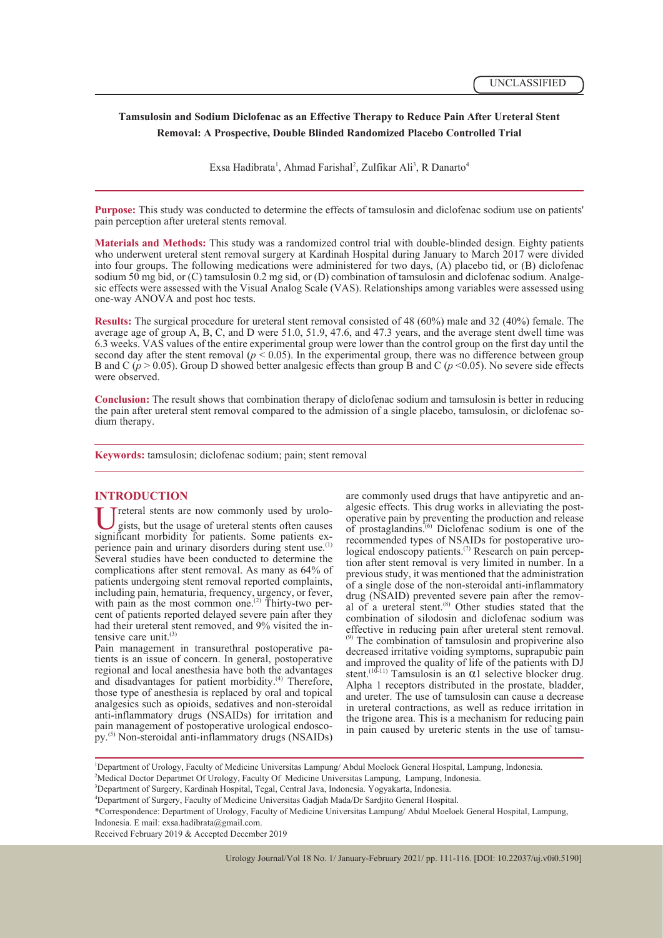# **Tamsulosin and Sodium Diclofenac as an Effective Therapy to Reduce Pain After Ureteral Stent Removal: A Prospective, Double Blinded Randomized Placebo Controlled Trial**

Exsa Hadibrata<sup>1</sup>, Ahmad Farishal<sup>2</sup>, Zulfikar Ali<sup>3</sup>, R Danarto<sup>4</sup>

**Purpose:** This study was conducted to determine the effects of tamsulosin and diclofenac sodium use on patients' pain perception after ureteral stents removal.

**Materials and Methods:** This study was a randomized control trial with double-blinded design. Eighty patients who underwent ureteral stent removal surgery at Kardinah Hospital during January to March 2017 were divided into four groups. The following medications were administered for two days, (A) placebo tid, or (B) diclofenac<br>sodium 50 mg bid, or (C) tamsulosin 0.2 mg sid, or (D) combination of tamsulosin and diclofenac sodium. Analgesic effects were assessed with the Visual Analog Scale (VAS). Relationships among variables were assessed using one-way ANOVA and post hoc tests.

**Results:** The surgical procedure for ureteral stent removal consisted of 48 (60%) male and 32 (40%) female. The average age of group A, B, C, and D were 51.0, 51.9, 47.6, and 47.3 years, and the average stent dwell time was 6.3 weeks. VAS values of the entire experimental group were lower than the control group on the first day until the second day after the stent removal ( $p \le 0.05$ ). In the experimental group, there was no difference between group B and C ( $p > 0.05$ ). Group D showed better analgesic effects than group B and C ( $p < 0.05$ ). No severe side effects were observed.

**Conclusion:** The result shows that combination therapy of diclofenac sodium and tamsulosin is better in reducing the pain after ureteral stent removal compared to the admission of a single placebo, tamsulosin, or diclofenac so- dium therapy.

**Keywords:** tamsulosin; diclofenac sodium; pain; stent removal

**INTRODUCTION**<br>**T** Treteral stents are now commonly used by urolosignificant morbidity for patients. Some patients exgists, but the usage of ureteral stents often causes perience pain and urinary disorders during stent use.<sup>(1)</sup> Several studies have been conducted to determine the complications after stent removal. As many as 64% of patients undergoing stent removal reported complaints, including pain, hematuria, frequency, urgency, or fever, with pain as the most common one.<sup>(2)</sup> Thirty-two percent of patients reported delayed severe pain after they had their ureteral stent removed, and  $9\%$  visited the intensive care unit.<sup>(3)</sup><br>Pain management in transurethral postoperative pa-

tients is an issue of concern. In general, postoperative regional and local anesthesia have both the advantages and disadvantages for patient morbidity.<sup>(4)</sup> Therefore, those type of anesthesia is replaced by oral and topical analgesics such as opioids, sedatives and non-steroidal anti-inflammatory drugs (NSAIDs) for irritation and py.<sup>(5)</sup> Non-steroidal anti-inflammatory drugs (NSAIDs) are commonly used drugs that have antipyretic and an-<br>algesic effects. This drug works in alleviating the post-<br>operative pain by preventing the production and release of prostaglandins.<sup> $(6)$ </sup> Diclofenac sodium is one of the recommended types of NSAIDs for postoperative urological endoscopy patients.<sup>(7)</sup> Research on pain perception after stent removal is very limited in number. In a previous study, it was mentioned that the administration of a single dose of the non-steroidal anti-inflammatory al of a ureteral stent.<sup>(8)</sup> Other studies stated that the combination of silodosin and diclofenac sodium was effective in reducing pain after ureteral stent removal. (9) The combination of tamsulosin and propiverine also decreased irritative voiding symptoms, suprapubic pain and improved the quality of life of the patients with DJ stent.<sup>(10-11)</sup> Tamsulosin is an  $\alpha$ 1 selective blocker drug. Alpha 1 receptors distributed in the prostate, bladder, and ureter. The use of tamsulosin can cause a decrease in ureteral contractions, as well as reduce irritation in the trigone area. This is a mechanism for reducing pain in pain caused by ureteric stents in the use of tamsu-

1 Department of Urology, Faculty of Medicine Universitas Lampung/ Abdul Moeloek General Hospital, Lampung, Indonesia.

<sup>2</sup> Medical Doctor Departmet Of Urology, Faculty Of Medicine Universitas Lampung, Lampung, Indonesia.

<sup>3</sup> Department of Surgery, Kardinah Hospital, Tegal, Central Java, Indonesia. Yogyakarta, Indonesia.

<sup>4</sup> Department of Surgery, Faculty of Medicine Universitas Gadjah Mada/Dr Sardjito General Hospital.

<sup>\*</sup>Correspondence: Department of Urology, Faculty of Medicine Universitas Lampung/ Abdul Moeloek General Hospital, Lampung,

Indonesia. E mail: exsa.hadibrata@gmail.com.

Received February 2019 & Accepted December 2019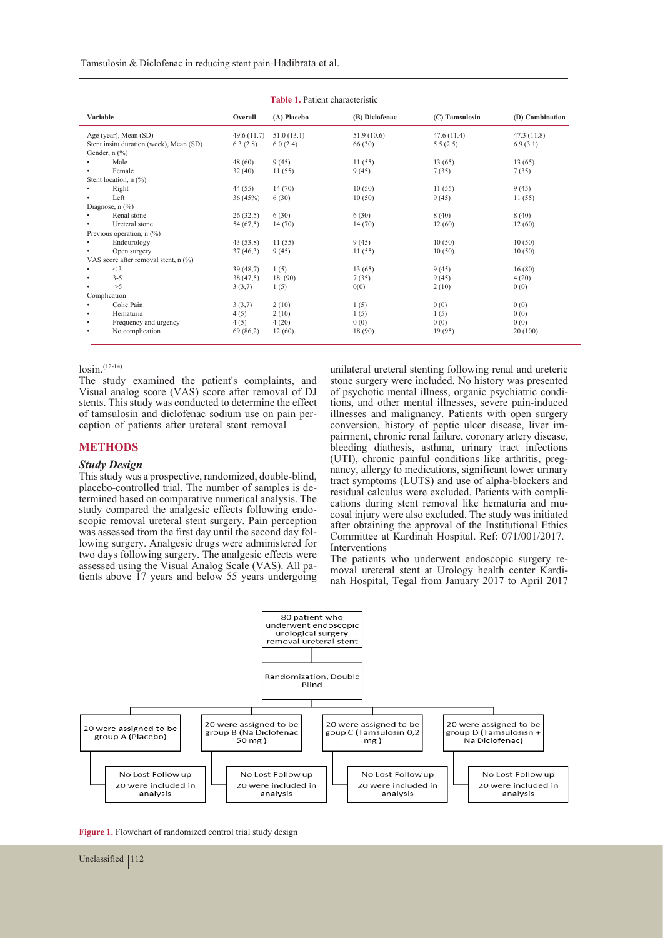Tamsulosin & Diclofenac in reducing stent pain-Hadibrata et al.

| <b>Table 1. Patient characteristic</b> |                                         |            |             |                |                |                 |
|----------------------------------------|-----------------------------------------|------------|-------------|----------------|----------------|-----------------|
|                                        | Variable                                | Overall    | (A) Placebo | (B) Diclofenac | (C) Tamsulosin | (D) Combination |
|                                        | Age (year), Mean (SD)                   | 49.6(11.7) | 51.0(13.1)  | 51.9(10.6)     | 47.6(11.4)     | 47.3(11.8)      |
|                                        | Stent insitu duration (week), Mean (SD) | 6.3(2.8)   | 6.0(2.4)    | 66 (30)        | 5.5(2.5)       | 6.9(3.1)        |
|                                        | Gender, $n$ $(\%)$                      |            |             |                |                |                 |
|                                        | Male                                    | 48(60)     | 9(45)       | 11(55)         | 13(65)         | 13(65)          |
|                                        | Female                                  | 32(40)     | 11(55)      | 9(45)          | 7(35)          | 7(35)           |
|                                        | Stent location, $n$ (%)                 |            |             |                |                |                 |
|                                        | Right                                   | 44(55)     | 14(70)      | 10(50)         | 11(55)         | 9(45)           |
|                                        | Left                                    | 36(45%)    | 6(30)       | 10(50)         | 9(45)          | 11(55)          |
|                                        | Diagnose, $n$ (%)                       |            |             |                |                |                 |
|                                        | Renal stone                             | 26(32,5)   | 6(30)       | 6(30)          | 8(40)          | 8(40)           |
| ٠                                      | Ureteral stone                          | 54 (67,5)  | 14(70)      | 14(70)         | 12(60)         | 12(60)          |
|                                        | Previous operation, $n$ (%)             |            |             |                |                |                 |
| ٠                                      | Endourology                             | 43(53,8)   | 11(55)      | 9(45)          | 10(50)         | 10(50)          |
| ٠                                      | Open surgery                            | 37(46,3)   | 9(45)       | 11(55)         | 10(50)         | 10(50)          |
|                                        | VAS score after removal stent, n (%)    |            |             |                |                |                 |
| ٠                                      | $<$ 3                                   | 39(48,7)   | 1(5)        | 13(65)         | 9(45)          | 16(80)          |
|                                        | $3 - 5$                                 | 38 (47,5)  | 18 (90)     | 7(35)          | 9(45)          | 4(20)           |
|                                        | >5                                      | 3(3,7)     | 1(5)        | 0(0)           | 2(10)          | 0(0)            |
|                                        | Complication                            |            |             |                |                |                 |
|                                        | Colic Pain                              | 3(3,7)     | 2(10)       | 1(5)           | 0(0)           | 0(0)            |
| ٠                                      | Hematuria                               | 4(5)       | 2(10)       | 1(5)           | 1(5)           | 0(0)            |
| ٠                                      | Frequency and urgency                   | 4(5)       | 4(20)       | 0(0)           | 0(0)           | 0(0)            |
| ٠                                      | No complication                         | 69 (86,2)  | 12(60)      | 18 (90)        | 19(95)         | 20(100)         |

#### $\log in.$ <sup>(12-14)</sup>

The study examined the patient's complaints, and Visual analog score (VAS) score after removal of DJ stents. This study was conducted to determine the effect of tamsulosin and diclofenac sodium use on pain perception of patients after ureteral stent removal

## **METHODS**

### *Study Design*

This study was a prospective, randomized, double-blind, placebo-controlled trial. The number of samples is de- termined based on comparative numerical analysis. The study compared the analgesic effects following endo-<br>scopic removal ureteral stent surgery. Pain perception<br>was assessed from the first day until the second day following surgery. Analgesic drugs were administered for two days following surgery. The analgesic effects were assessed using the Visual Analog Scale (VAS). All patients above 17 years and below 55 years undergoing. unilateral ureteral stenting following renal and ureteric stone surgery were included. No history was presented of psychotic mental illness, organic psychiatric condi- tions, and other mental illnesses, severe pain-induced illnesses and malignancy. Patients with open surgery conversion, history of peptic ulcer disease, liver im- pairment, chronic renal failure, coronary artery disease, bleeding diathesis, asthma, urinary tract infections (UTI), chronic painful conditions like arthritis, preghancy, allergy to medications, significant lower urinary tract symptoms (LUTS) and use of alpha-blockers and residual calculus were excluded. Patients with compli- cations during stent removal like hematuria and mu- cosal injury were also excluded. The study was initiated after obtaining the approval of the Institutional Ethics Committee at Kardinah Hospital. Ref: 071/001/2017. Interventions<br>The patients who underwent endoscopic surgery re-

moval ureteral stent at Urology health center Kardinah Hospital, Tegal from January 2017 to April 2017



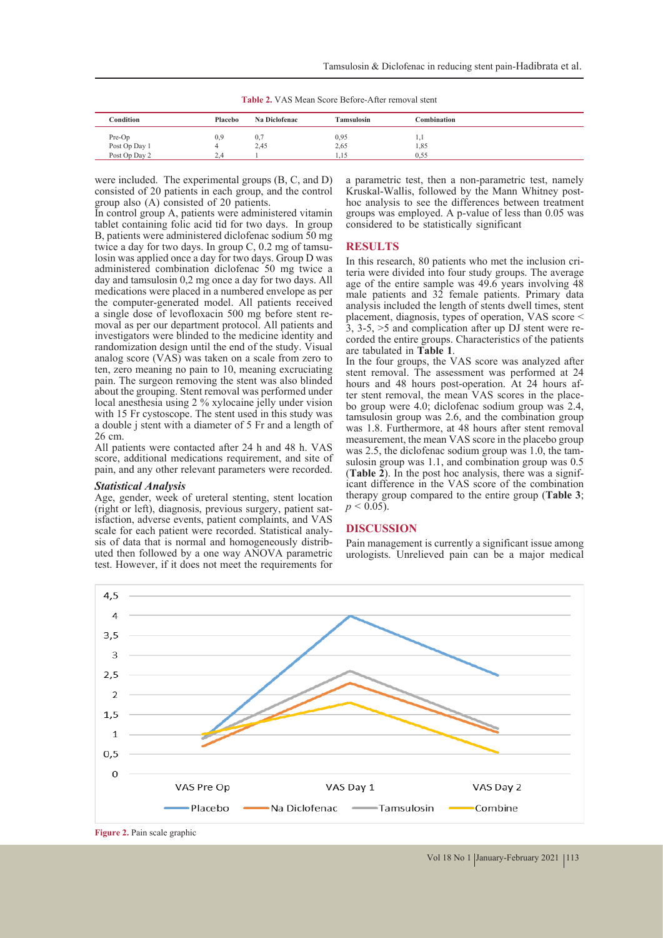**Table 2.** VAS Mean Score Before-After removal stent

| Condition                      | Placebo | Na Diclofenac | <b>Tamsulosin</b> | Combination  |  |
|--------------------------------|---------|---------------|-------------------|--------------|--|
| Pre-Op                         | 0,9     | 0,            | 0,95              | 1.1          |  |
| Post Op Day 1<br>Post Op Day 2 | 2.4     | 2,45          | 2,65<br>1.15      | 1,85<br>0,55 |  |

were included. The experimental groups (B, C, and D) consisted of 20 patients in each group, and the control group also (A) consisted of 20 patients.

In control group A, patients were administered vitamin tablet containing folic acid tid for two days. In group B, patients were administered diclofenac sodium  $\overline{50}$  mg<br>twice a day for two days. In group C, 0.2 mg of tamsulosin was applied once a day for two days. Group D was administered combination diclofenac 50 mg twice a day and tamsulosin 0,2 mg once a day for two days. All medications were placed in a numbered envelope as per the computer-generated model. All patients received a single dose of levofloxacin 500 mg before stent re- moval as per our department protocol. All patients and investigators were blinded to the medicine identity and randomization design until the end of the study. Visual analog score (VAS) was taken on a scale from zero to ten, zero meaning no pain to 10, meaning excruciating pain. The surgeon removing the stent was also blinded about the grouping. Stent removal was performed under local anesthesia using 2 % xylocaine jelly under vision with 15 Fr cystoscope. The stent used in this study was a double j stent with a diameter of 5 Fr and a length of 26 cm.

All patients were contacted after 24 h and 48 h. VAS score, additional medications requirement, and site of pain, and any other relevant parameters were recorded.

#### *Statistical Analysis*

Age, gender, week of ureteral stenting, stent location (right or left), diagnosis, previous surgery, patient satisfaction, adverse events, patient complaints, and VAS<br>scale for each patient were recorded. Statistical analysis of data that is normal and homogeneously distributed then followed by a one way ANOVA parametric test. However, if it does not meet the requirements for a parametric test, then a non-parametric test, namely Kruskal-Wallis, followed by the Mann Whitney posthoc analysis to see the differences between treatment groups was employed. A p-value of less than 0.05 was considered to be statistically significant

#### **RESULTS**

In this research, 80 patients who met the inclusion cri- teria were divided into four study groups. The average age of the entire sample was 49.6 years involving 48 male patients and 32 female patients. Primary data analysis included the length of stents dwell times, stent placement, diagnosis, types of operation, VAS score < 3, 3-5, >5 and complication after up DJ stent were recorded the entire groups. Characteristics of the patients are tabulated in **Table 1**.

In the four groups, the VAS score was analyzed after stent removal. The assessment was performed at 24 hours and 48 hours post-operation. At 24 hours after stent removal, the mean VAS scores in the place-<br>bo group were 4.0; diclofenac sodium group was 2.4, tamsulosin group was 2.6, and the combination group was 1.8. Furthermore, at 48 hours after stent removal measurement, the mean VAS score in the placebo group was 2.5, the diclofenac sodium group was 1.0, the tam-<br>sulosin group was 1.1, and combination group was 0.5 (**Table 2**). In the post hoc analysis, there was a signif- icant difference in the VAS score of the combination therapy group compared to the entire group (**Table 3**;  $p < 0.05$ ).

### **DISCUSSION**

Pain management is currently a significant issue among urologists. Unrelieved pain can be a major medical



**Figure 2.** Pain scale graphic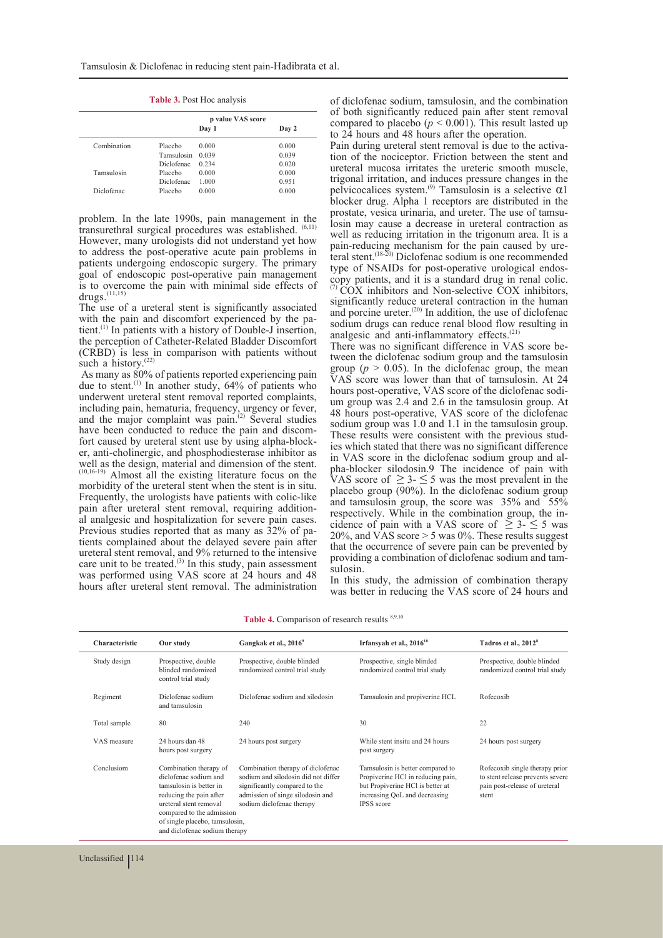|             |                   | p value VAS score |       |
|-------------|-------------------|-------------------|-------|
|             |                   | Day 1             | Day 2 |
| Combination | Placebo           | 0.000             | 0.000 |
|             | Tamsulosin        | 0.039             | 0.039 |
|             | <b>Diclofenac</b> | 0.234             | 0.020 |
| Tamsulosin  | Placebo           | 0.000             | 0.000 |
|             | Diclofenac        | 1.000             | 0.951 |
| Diclofenac  | Placebo           | 0.000             | 0.000 |

**Table 3.** Post Hoc analysis

problem. In the late 1990s, pain management in the transurethral surgical procedures was established. (6,11) However, many urologists did not understand yet how to address the post-operative acute pain problems in patients undergoing endoscopic surgery. The primary goal of endoscopic post-operative pain management is to overcome the pain with minimal side effects of  $drugs.$ <sup>(11,15)</sup>

The use of a ureteral stent is significantly associated with the pain and discomfort experienced by the patient.<sup>(1)</sup> In patients with a history of Double-J insertion, the perception of Catheter-Related Bladder Discomfort (CRBD) is less in comparison with patients without such a history.<sup>(22)</sup>

 As many as 80% of patients reported experiencing pain due to stent.<sup>(1)</sup> In another study, 64% of patients who underwent ureteral stent removal reported complaints, including pain, hematuria, frequency, urgency or fever, and the major complaint was  $\text{pain.}^{(2)}$  Several studies have been conducted to reduce the pain and discom-<br>fort caused by ureteral stent use by using alpha-block-<br>er, anti-cholinergic, and phosphodiesterase inhibitor as well as the design, material and dimension of the stent. (10,16-19) Almost all the existing literature focus on the morbidity of the ureteral stent when the stent is in situ. Frequently, the urologists have patients with colic-like pain after ureteral stent removal, requiring additional analgesic and hospitalization for severe pain cases.<br>Previous studies reported that as many as  $32\%$  of patients complained about the delayed severe pain after ureteral stent removal, and 9% returned to the intensive care unit to be treated.<sup>(3)</sup> In this study, pain assessment was performed using VAS score at 24 hours and 48 hours after ureteral stent removal. The administration

of diclofenac sodium, tamsulosin, and the combination of both significantly reduced pain after stent removal compared to placebo ( $p < 0.001$ ). This result lasted up to 24 hours and 48 hours after the operation.<br>Pain during ureteral stent removal is due to the activa-

tion of the nociceptor. Friction between the stent and ureteral mucosa irritates the ureteric smooth muscle, trigonal irritation, and induces pressure changes in the pelvicocalices system.<sup>(9)</sup> Tamsulosin is a selective  $\alpha$ 1 blocker drug. Alpha 1 receptors are distributed in the prostate, vesica urinaria, and ureter. The use of tamsulosin may cause a decrease in ureteral contraction as well as reducing irritation in the trigonum area. It is a pain-reducing mechanism for the pain caused by ure-<br>teral stent.<sup>(18-20)</sup> Diclofenac sodium is one recommended<br>type of NSAIDs for post-operative urological endostype of NSAIDs for post-operative urological endos-<br>copy patients, and it is a standard drug in renal colic.  $\overline{COX}$  inhibitors and Non-selective  $\overline{COX}$  inhibitors, significantly reduce ureteral contraction in the human and porcine ureter.<sup>(20)</sup> In addition, the use of diclofenac sodium drugs can reduce renal blood flow resulting in analgesic and anti-inflammatory effects. $(21)$ <br>There was no significant difference in VAS score be-

tween the diclofenac sodium group and the tamsulosin group ( $p > 0.05$ ). In the diclofenac group, the mean VAS score was lower than that of tamsulosin. At 24 hours post-operative, VAS score of the diclofenac sodium group was 2.4 and 2.6 in the tamsulosin group. At 48 hours post-operative, VAS score of the diclofenac sodium group was 1.0 and 1.1 in the tamsulosin group.<br>These results were consistent with the previous studies which stated that there was no significant difference in VAS score in the diclofenac sodium group and alpha-blocker silodosin.9 The incidence of pain with VAS score of  $\geq$  3-  $\leq$  5 was the most prevalent in the placebo group (90%). In the diclofenac sodium group and tamsulosin group, the score was 35% and 55% respectively. While in the combination group, the in-<br>cidence of pain with a VAS score of  $\geq 3$ -  $\leq 5$  was 20%, and VAS score > 5 was 0%. These results suggest that the occurrence of severe pain can be prevented by providing a combination of diclofenac sodium and tam-<br>sulosin.

In this study, the admission of combination therapy was better in reducing the VAS score of 24 hours and

| Characteristic | Our study                                                                                                                                                                                                                       | Gangkak et al., 2016 <sup>9</sup>                                                                                                                                          | Irfansyah et al., 2016 <sup>10</sup>                                                                                                                            | Tadros et al., 2012 <sup>8</sup>                                                                             |
|----------------|---------------------------------------------------------------------------------------------------------------------------------------------------------------------------------------------------------------------------------|----------------------------------------------------------------------------------------------------------------------------------------------------------------------------|-----------------------------------------------------------------------------------------------------------------------------------------------------------------|--------------------------------------------------------------------------------------------------------------|
| Study design   | Prospective, double<br>blinded randomized<br>control trial study                                                                                                                                                                | Prospective, double blinded<br>randomized control trial study                                                                                                              | Prospective, single blinded<br>randomized control trial study                                                                                                   | Prospective, double blinded<br>randomized control trial study                                                |
| Regiment       | Diclofenac sodium<br>and tamsulosin                                                                                                                                                                                             | Diclofenac sodium and silodosin                                                                                                                                            | Tamsulosin and propiverine HCL                                                                                                                                  | Rofecoxib                                                                                                    |
| Total sample   | 80                                                                                                                                                                                                                              | 240                                                                                                                                                                        | 30                                                                                                                                                              | 22                                                                                                           |
| VAS measure    | 24 hours dan 48<br>hours post surgery                                                                                                                                                                                           | 24 hours post surgery                                                                                                                                                      | While stent insitu and 24 hours<br>post surgery                                                                                                                 | 24 hours post surgery                                                                                        |
| Conclusiom     | Combination therapy of<br>diclofenac sodium and<br>tamsulosin is better in<br>reducing the pain after<br>ureteral stent removal<br>compared to the admission<br>of single placebo, tamsulosin,<br>and diclofenac sodium therapy | Combination therapy of diclofenac<br>sodium and silodosin did not differ<br>significantly compared to the<br>admission of singe silodosin and<br>sodium diclofenac therapy | Tamsulosin is better compared to<br>Propiverine HCl in reducing pain,<br>but Propiverine HCl is better at<br>increasing QoL and decreasing<br><b>IPSS</b> score | Rofecoxib single therapy prior<br>to stent release prevents severe<br>pain post-release of ureteral<br>stent |

Table 4. Comparison of research results 8,9,10

Unclassified | 114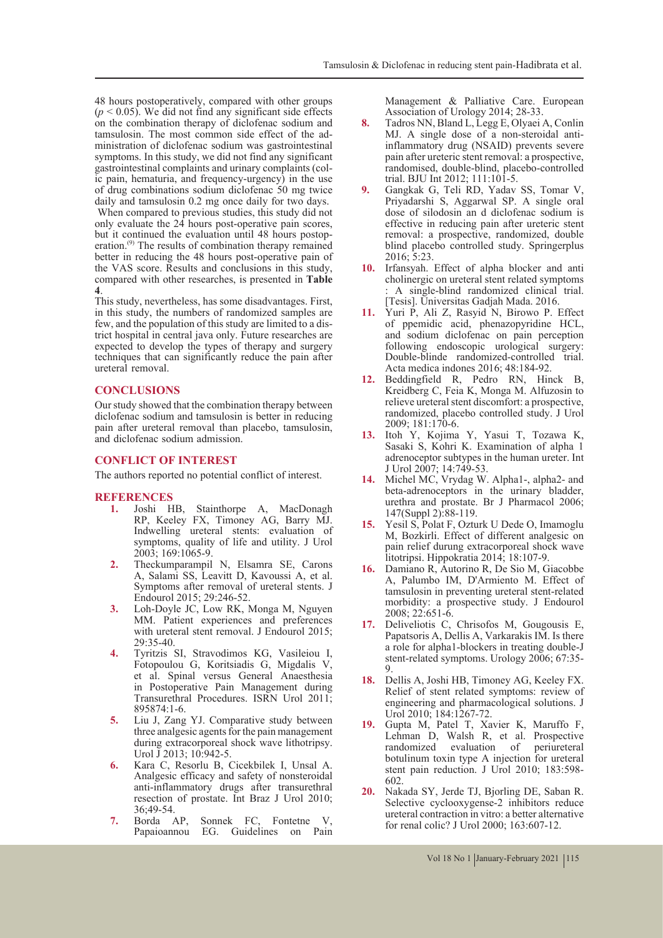48 hours postoperatively, compared with other groups  $(p < 0.05)$ . We did not find any significant side effects on the combination therapy of diclofenac sodium and ministration of diclofenac sodium was gastrointestinal symptoms. In this study, we did not find any significant gastrointestinal complaints and urinary complaints (colic pain, hematuria, and frequency-urgency) in the use of drug combinations sodium diclofenac 50 mg twice daily and tamsulosin 0.2 mg once daily for two days. When compared to previous studies, this study did not only evaluate the 24 hours post-operative pain scores, but it continued the evaluation until 48 hours postop-

eration.<sup>(9)</sup> The results of combination therapy remained better in reducing the 48 hours post-operative pain of the VAS score. Results and conclusions in this study, compared with other researches, is presented in **Table 4**.

This study, nevertheless, has some disadvantages. First, in this study, the numbers of randomized samples are few, and the population of this study are limited to a district hospital in central java only. Future researches are expected to develop the types of therapy and surgery techniques that can significantly reduce the pain after ureteral removal.

#### **CONCLUSIONS**

Our study showed that the combination therapy between diclofenac sodium and tamsulosin is better in reducing pain after ureteral removal than placebo, tamsulosin, and diclofenac sodium admission.

# **CONFLICT OF INTEREST**

The authors reported no potential conflict of interest.

# **REFERENCES**

- **1.** Joshi HB, Stainthorpe A, MacDonagh RP, Keeley FX, Timoney AG, Barry MJ. Indwelling ureteral stents: evaluation of symptoms, quality of life and utility. J Urol 2003; 169:1065-9.
- **2.** Theckumparampil N, Elsamra SE, Carons A, Salami SS, Leavitt D, Kavoussi A, et al. Symptoms after removal of ureteral stents. J Endourol 2015; 29:246-52.
- **3.** Loh-Doyle JC, Low RK, Monga M, Nguyen MM. Patient experiences and preferences with ureteral stent removal. J Endourol 2015;  $29.35 - 40$
- **4.** Tyritzis SI, Stravodimos KG, Vasileiou I, Fotopoulou G, Koritsiadis G, Migdalis V, et al. Spinal versus General Anaesthesia in Postoperative Pain Management during Transurethral Procedures. ISRN Urol 2011; 895874:1-6.
- **5.** Liu J, Zang YJ. Comparative study between three analgesic agents for the pain management during extracorporeal shock wave lithotripsy. Urol J 2013; 10:942-5.
- **6.** Kara C, Resorlu B, Cicekbilek I, Unsal A. Analgesic efficacy and safety of nonsteroidal anti-inflammatory drugs after transurethral resection of prostate. Int Braz J Urol 2010; 36;49-54.<br>Borda AP,
- **7.** Borda AP, Sonnek FC, Fontetne V, EG. Guidelines on Pain

Management & Palliative Care. European Association of Urology 2014; 28-33.

- **8.** Tadros NN, Bland L, Legg E, Olyaei A, Conlin MJ. A single dose of a non-steroidal antiinflammatory drug (NSAID) prevents severe pain after ureteric stent removal: a prospective, randomised, double-blind, placebo-controlled trial. BJU Int 2012; 111:101-5.
- **9.** Gangkak G, Teli RD, Yadav SS, Tomar V, Priyadarshi S, Aggarwal SP. A single oral dose of silodosin an d diclofenac sodium is effective in reducing pain after ureteric stent removal: a prospective, randomized, double blind placebo controlled study. Springerplus 2016; 5:23.
- **10.** Irfansyah. Effect of alpha blocker and anti cholinergic on ureteral stent related symptoms : A single-blind randomized clinical trial. [Tesis]. Universitas Gadjah Mada. 2016.
- **11.** Yuri P, Ali Z, Rasyid N, Birowo P. Effect of ppemidic acid, phenazopyridine HCL, and sodium diclofenac on pain perception following endoscopic urological surgery: Double-blinde randomized-controlled trial. Acta medica indones 2016; 48:184-92.
- 12. Beddingfield R, Pedro RN, Hinck B, Kreidberg C, Feia K, Monga M. Alfuzosin to relieve ureteral stent discomfort: a prospective, randomized, placebo controlled study. J Urol 2009; 181:170-6.
- **13.** Itoh Y, Kojima Y, Yasui T, Tozawa K, Sasaki S, Kohri K. Examination of alpha 1 adrenoceptor subtypes in the human ureter. Int J Urol 2007; 14:749-53.
- **14.** Michel MC, Vrydag W. Alpha1-, alpha2- and beta-adrenoceptors in the urinary bladder, urethra and prostate. Br J Pharmacol 2006; 147(Suppl 2):88-119.
- **15.** Yesil S, Polat F, Ozturk U Dede O, Imamoglu M, Bozkirli. Effect of different analgesic on pain relief durung extracorporeal shock wave litotripsi. Hippokratia 2014; 18:107-9.
- **16.** Damiano R, Autorino R, De Sio M, Giacobbe A, Palumbo IM, D'Armiento M. Effect of tamsulosin in preventing ureteral stent-related morbidity: a prospective study. J Endourol 2008; 22:651-6.
- **17.** Deliveliotis C, Chrisofos M, Gougousis E, Papatsoris A, Dellis A, Varkarakis IM. Is there a role for alpha1-blockers in treating double-J stent-related symptoms. Urology 2006; 67:35- 9.
- **18.** Dellis A, Joshi HB, Timoney AG, Keeley FX. Relief of stent related symptoms: review of engineering and pharmacological solutions. J Urol 2010; 184:1267-72.
- **19.** Gupta M, Patel T, Xavier K, Maruffo F, Lehman D, Walsh R, et al. Prospective randomized evaluation of periureteral botulinum toxin type A injection for ureteral stent pain reduction. J Urol 2010; 183:598- 602.
- **20.** Nakada SY, Jerde TJ, Bjorling DE, Saban R. Selective cyclooxygense-2 inhibitors reduce ureteral contraction in vitro: a better alternative for renal colic? J Urol 2000; 163:607-12.